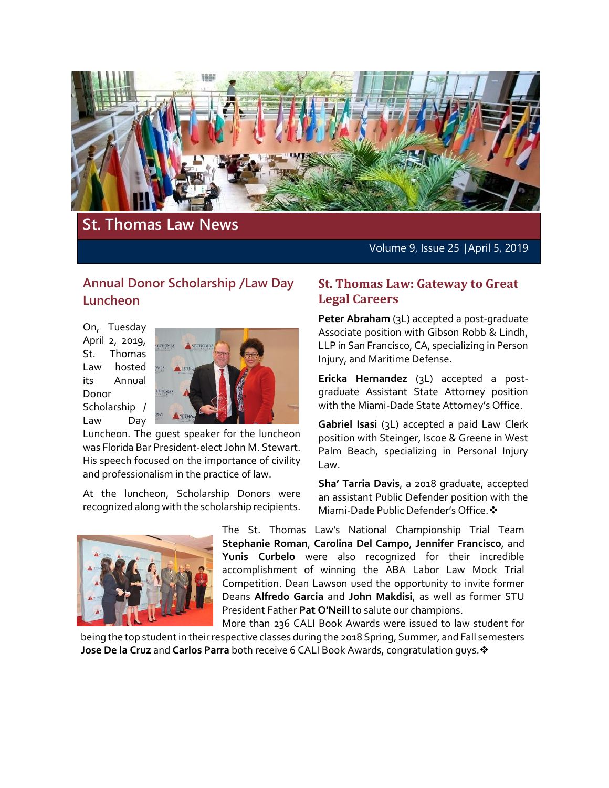

# **St. Thomas Law News**

Volume 9, Issue 25 │April 5, 2019

## **Annual Donor Scholarship /Law Day Luncheon**

On, Tuesday April 2, 2019, St. Thomas Law hosted its Annual Donor Scholarship / Law Day



Luncheon. The guest speaker for the luncheon was Florida Bar President-elect John M. Stewart. His speech focused on the importance of civility and professionalism in the practice of law.

At the luncheon, Scholarship Donors were recognized along with the scholarship recipients.



#### **St. Thomas Law: Gateway to Great Legal Careers**

**Peter Abraham** (3L) accepted a post-graduate Associate position with Gibson Robb & Lindh, LLP in San Francisco, CA, specializing in Person Injury, and Maritime Defense.

**Ericka Hernandez** (3L) accepted a postgraduate Assistant State Attorney position with the Miami-Dade State Attorney's Office.

**Gabriel Isasi** (3L) accepted a paid Law Clerk position with Steinger, Iscoe & Greene in West Palm Beach, specializing in Personal Injury Law.

**Sha' Tarria Davis**, a 2018 graduate, accepted an assistant Public Defender position with the Miami-Dade Public Defender's Office.

The St. Thomas Law's National Championship Trial Team **Stephanie Roman**, **Carolina Del Campo**, **Jennifer Francisco**, and **Yunis Curbelo** were also recognized for their incredible accomplishment of winning the ABA Labor Law Mock Trial Competition. Dean Lawson used the opportunity to invite former Deans **Alfredo Garcia** and **John Makdisi**, as well as former STU President Father **Pat O'Neill** to salute our champions.

More than 236 CALI Book Awards were issued to law student for being the top student in their respective classes during the 2018 Spring, Summer, and Fall semesters **Jose De la Cruz** and **Carlos Parra** both receive 6 CALI Book Awards, congratulation guys.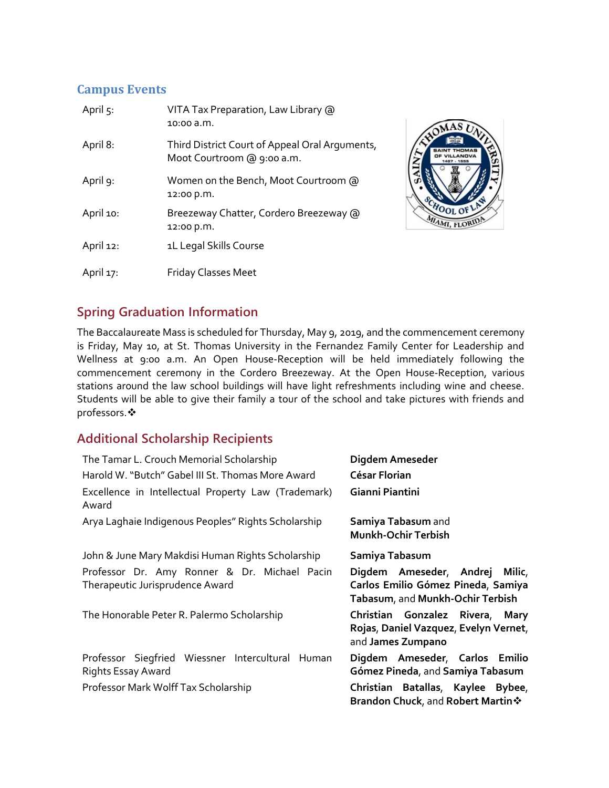## **Campus Events**

| April 5:  | VITA Tax Preparation, Law Library @<br>10:00 a.m.                            |
|-----------|------------------------------------------------------------------------------|
| April 8:  | Third District Court of Appeal Oral Arguments,<br>Moot Courtroom @ 9:00 a.m. |
| April 9:  | Women on the Bench, Moot Courtroom @<br>12:00 p.m.                           |
| April 10: | Breezeway Chatter, Cordero Breezeway @<br>12:00 p.m.                         |
| April 12: | 1L Legal Skills Course                                                       |
| April 17: | <b>Friday Classes Meet</b>                                                   |



## **Spring Graduation Information**

The Baccalaureate Mass is scheduled for Thursday, May 9, 2019, and the commencement ceremony is Friday, May 10, at St. Thomas University in the Fernandez Family Center for Leadership and Wellness at 9:00 a.m. An Open House-Reception will be held immediately following the commencement ceremony in the Cordero Breezeway. At the Open House-Reception, various stations around the law school buildings will have light refreshments including wine and cheese. Students will be able to give their family a tour of the school and take pictures with friends and professors.

## **Additional Scholarship Recipients**

| The Tamar L. Crouch Memorial Scholarship                                        | Digdem Ameseder                                                                                          |
|---------------------------------------------------------------------------------|----------------------------------------------------------------------------------------------------------|
| Harold W. "Butch" Gabel III St. Thomas More Award                               | César Florian                                                                                            |
| Excellence in Intellectual Property Law (Trademark)<br>Award                    | Gianni Piantini                                                                                          |
| Arya Laghaie Indigenous Peoples" Rights Scholarship                             | Samiya Tabasum and<br><b>Munkh-Ochir Terbish</b>                                                         |
| John & June Mary Makdisi Human Rights Scholarship                               | Samiya Tabasum                                                                                           |
| Professor Dr. Amy Ronner & Dr. Michael Pacin<br>Therapeutic Jurisprudence Award | Digdem Ameseder, Andrej Milic,<br>Carlos Emilio Gómez Pineda, Samiya<br>Tabasum, and Munkh-Ochir Terbish |
| The Honorable Peter R. Palermo Scholarship                                      | Christian Gonzalez Rivera, Mary<br>Rojas, Daniel Vazquez, Evelyn Vernet,<br>and James Zumpano            |
| Professor Siegfried Wiessner Intercultural Human<br>Rights Essay Award          | Digdem Ameseder, Carlos Emilio<br>Gómez Pineda, and Samiya Tabasum                                       |
| Professor Mark Wolff Tax Scholarship                                            | Christian Batallas, Kaylee Bybee,<br><b>Brandon Chuck, and Robert Martin *</b>                           |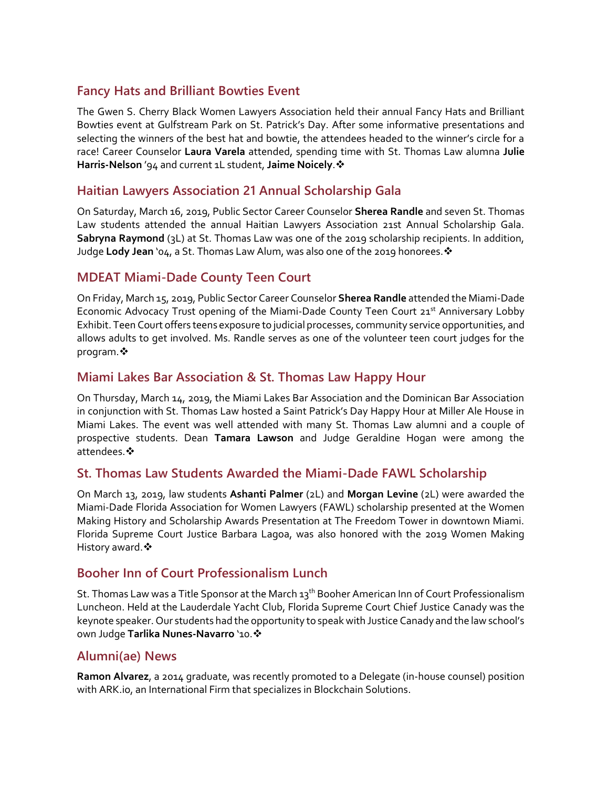### **Fancy Hats and Brilliant Bowties Event**

The Gwen S. Cherry Black Women Lawyers Association held their annual Fancy Hats and Brilliant Bowties event at Gulfstream Park on St. Patrick's Day. After some informative presentations and selecting the winners of the best hat and bowtie, the attendees headed to the winner's circle for a race! Career Counselor **Laura Varela** attended, spending time with St. Thomas Law alumna **Julie Harris-Nelson** '94 and current 1L student, **Jaime Noicely**.

## **Haitian Lawyers Association 21 Annual Scholarship Gala**

On Saturday, March 16, 2019, Public Sector Career Counselor **Sherea Randle** and seven St. Thomas Law students attended the annual Haitian Lawyers Association 21st Annual Scholarship Gala. **Sabryna Raymond** (3L) at St. Thomas Law was one of the 2019 scholarship recipients. In addition, Judge **Lody Jean** '04, a St. Thomas Law Alum, was also one of the 2019 honorees.

### **MDEAT Miami-Dade County Teen Court**

On Friday, March 15, 2019, Public Sector Career Counselor **Sherea Randle** attended the Miami-Dade Economic Advocacy Trust opening of the Miami-Dade County Teen Court 21<sup>st</sup> Anniversary Lobby Exhibit. Teen Court offers teens exposure to judicial processes, community service opportunities, and allows adults to get involved. Ms. Randle serves as one of the volunteer teen court judges for the program.  $\cdot \cdot$ 

#### **Miami Lakes Bar Association & St. Thomas Law Happy Hour**

On Thursday, March 14, 2019, the Miami Lakes Bar Association and the Dominican Bar Association in conjunction with St. Thomas Law hosted a Saint Patrick's Day Happy Hour at Miller Ale House in Miami Lakes. The event was well attended with many St. Thomas Law alumni and a couple of prospective students. Dean **Tamara Lawson** and Judge Geraldine Hogan were among the attendees.

#### **St. Thomas Law Students Awarded the Miami-Dade FAWL Scholarship**

On March 13, 2019, law students **Ashanti Palmer** (2L) and **Morgan Levine** (2L) were awarded the Miami-Dade Florida Association for Women Lawyers (FAWL) scholarship presented at the Women Making History and Scholarship Awards Presentation at The Freedom Tower in downtown Miami. Florida Supreme Court Justice Barbara Lagoa, was also honored with the 2019 Women Making History award. ❖

## **Booher Inn of Court Professionalism Lunch**

St. Thomas Law was a Title Sponsor at the March 13<sup>th</sup> Booher American Inn of Court Professionalism Luncheon. Held at the Lauderdale Yacht Club, Florida Supreme Court Chief Justice Canady was the keynote speaker. Our students had the opportunity to speak with Justice Canady and the law school's own Judge Tarlika Nunes-Navarro '10. \*

#### **Alumni(ae) News**

**Ramon Alvarez**, a 2014 graduate, was recently promoted to a Delegate (in-house counsel) position with ARK.io, an International Firm that specializes in Blockchain Solutions.